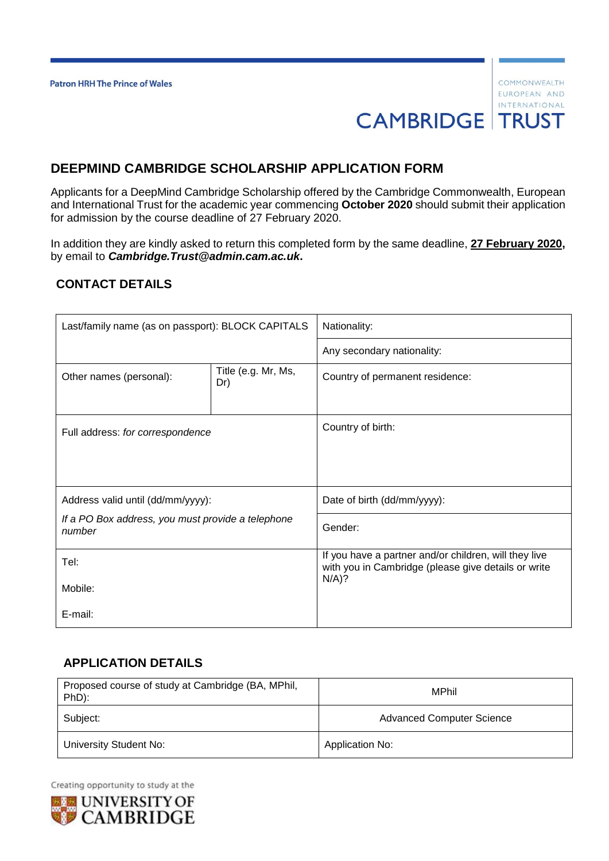# **DEEPMIND CAMBRIDGE SCHOLARSHIP APPLICATION FORM**

Applicants for a DeepMind Cambridge Scholarship offered by the Cambridge Commonwealth, European and International Trust for the academic year commencing **October 2020** should submit their application for admission by the course deadline of 27 February 2020.

In addition they are kindly asked to return this completed form by the same deadline, **27 February 2020,** by email to *Cambridge.Trust@admin.cam.ac.uk***.**

#### **CONTACT DETAILS**

| Last/family name (as on passport): BLOCK CAPITALS           |                            | Nationality:                                                                                                            |  |
|-------------------------------------------------------------|----------------------------|-------------------------------------------------------------------------------------------------------------------------|--|
|                                                             |                            | Any secondary nationality:                                                                                              |  |
| Other names (personal):                                     | Title (e.g. Mr, Ms,<br>Dr) | Country of permanent residence:                                                                                         |  |
| Full address: for correspondence                            |                            | Country of birth:                                                                                                       |  |
| Address valid until (dd/mm/yyyy):                           |                            | Date of birth (dd/mm/yyyy):                                                                                             |  |
| If a PO Box address, you must provide a telephone<br>number |                            | Gender:                                                                                                                 |  |
| Tel:                                                        |                            | If you have a partner and/or children, will they live<br>with you in Cambridge (please give details or write<br>$N/A$ ? |  |
| Mobile:                                                     |                            |                                                                                                                         |  |
| E-mail:                                                     |                            |                                                                                                                         |  |

#### **APPLICATION DETAILS**

| Proposed course of study at Cambridge (BA, MPhil,<br>PhD): | MPhil                            |  |
|------------------------------------------------------------|----------------------------------|--|
| Subject:                                                   | <b>Advanced Computer Science</b> |  |
| University Student No:                                     | Application No:                  |  |

Creating opportunity to study at the

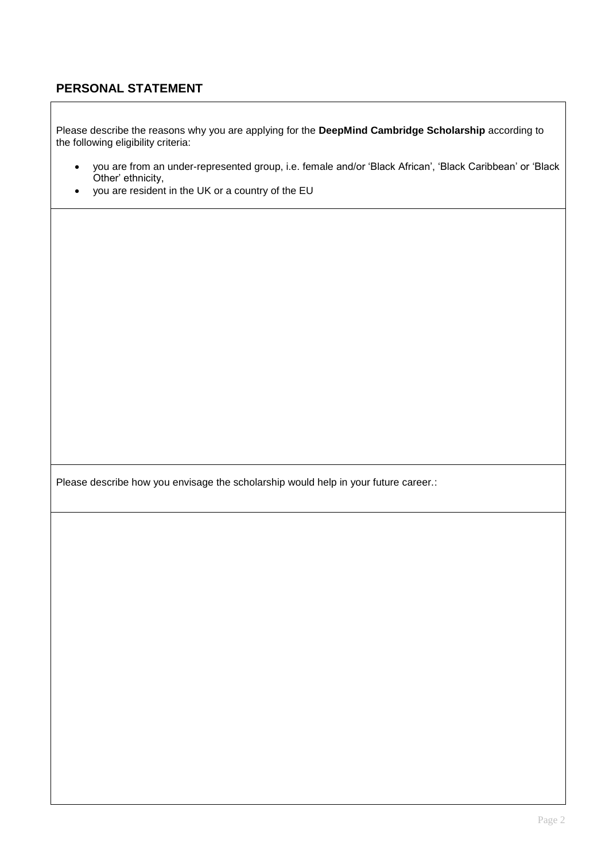## **PERSONAL STATEMENT**

Please describe the reasons why you are applying for the **DeepMind Cambridge Scholarship** according to the following eligibility criteria:

- you are from an under-represented group, i.e. female and/or 'Black African', 'Black Caribbean' or 'Black Other' ethnicity,
- you are resident in the UK or a country of the EU

Please describe how you envisage the scholarship would help in your future career.: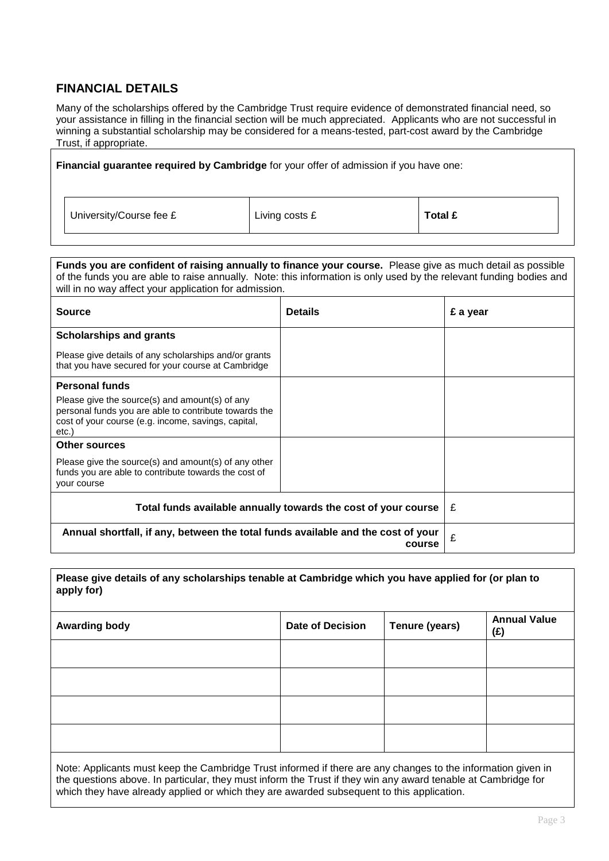## **FINANCIAL DETAILS**

Many of the scholarships offered by the Cambridge Trust require evidence of demonstrated financial need, so your assistance in filling in the financial section will be much appreciated. Applicants who are not successful in winning a substantial scholarship may be considered for a means-tested, part-cost award by the Cambridge Trust, if appropriate.

**Financial guarantee required by Cambridge** for your offer of admission if you have one: University/Course fee £ **Living costs £ Total £** 

**Funds you are confident of raising annually to finance your course.** Please give as much detail as possible of the funds you are able to raise annually. Note: this information is only used by the relevant funding bodies and will in no way affect your application for admission.

| <b>Source</b>                                                                                                                                                          | <b>Details</b> | £ a year |
|------------------------------------------------------------------------------------------------------------------------------------------------------------------------|----------------|----------|
| <b>Scholarships and grants</b>                                                                                                                                         |                |          |
| Please give details of any scholarships and/or grants<br>that you have secured for your course at Cambridge                                                            |                |          |
| <b>Personal funds</b>                                                                                                                                                  |                |          |
| Please give the source(s) and amount(s) of any<br>personal funds you are able to contribute towards the<br>cost of your course (e.g. income, savings, capital,<br>etc. |                |          |
| <b>Other sources</b>                                                                                                                                                   |                |          |
| Please give the source(s) and amount(s) of any other<br>funds you are able to contribute towards the cost of<br>your course                                            |                |          |
| Total funds available annually towards the cost of your course                                                                                                         | £              |          |
| Annual shortfall, if any, between the total funds available and the cost of your                                                                                       | £              |          |

**Please give details of any scholarships tenable at Cambridge which you have applied for (or plan to apply for)** 

| <b>Awarding body</b> | <b>Date of Decision</b> | Tenure (years) | <b>Annual Value</b><br>(E) |
|----------------------|-------------------------|----------------|----------------------------|
|                      |                         |                |                            |
|                      |                         |                |                            |
|                      |                         |                |                            |
|                      |                         |                |                            |

Note: Applicants must keep the Cambridge Trust informed if there are any changes to the information given in the questions above. In particular, they must inform the Trust if they win any award tenable at Cambridge for which they have already applied or which they are awarded subsequent to this application.